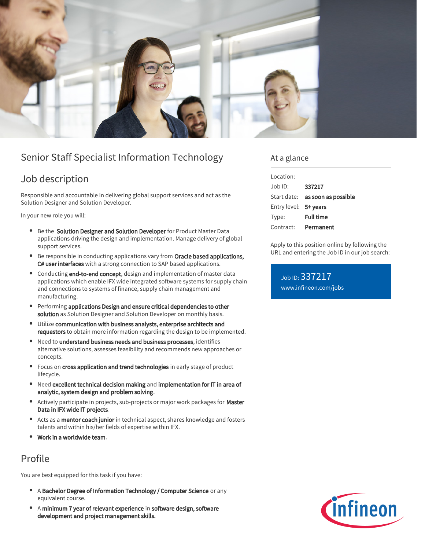

# Senior Staff Specialist Information Technology

### Job description

Responsible and accountable in delivering global support services and act as the Solution Designer and Solution Developer.

In your new role you will:

- **Be the Solution Designer and Solution Developer** for Product Master Data applications driving the design and implementation. Manage delivery of global support services.
- Be responsible in conducting applications vary from Oracle based applications, C# user interfaces with a strong connection to SAP based applications.
- Conducting end-to-end concept, design and implementation of master data applications which enable IFX wide integrated software systems for supply chain and connections to systems of finance, supply chain management and manufacturing.
- Performing applications Design and ensure critical dependencies to other solution as Solution Designer and Solution Developer on monthly basis.
- Utilize communication with business analysts, enterprise architects and  $\bullet$ requestors to obtain more information regarding the design to be implemented.
- Need to understand business needs and business processes, identifies alternative solutions, assesses feasibility and recommends new approaches or concepts.
- Focus on cross application and trend technologies in early stage of product  $\bullet$ lifecycle.
- Need excellent technical decision making and implementation for IT in area of analytic, system design and problem solving.
- Actively participate in projects, sub-projects or major work packages for Master Data in IFX wide IT projects.
- Acts as a mentor coach junior in technical aspect, shares knowledge and fosters  $\bullet$ talents and within his/her fields of expertise within IFX.
- Work in a worldwide team.

### Profile

You are best equipped for this task if you have:

- $\bullet$ A Bachelor Degree of Information Technology / Computer Science or any equivalent course.
- A minimum 7 year of relevant experience in software design, software development and project management skills.

### At a glance

| Location:             |                                        |
|-----------------------|----------------------------------------|
| Job ID:               | 337217                                 |
|                       | Start date: <b>as soon as possible</b> |
| Entry level: 5+ years |                                        |
| Type:                 | <b>Full time</b>                       |
| Contract:             | Permanent                              |

Apply to this position online by following the URL and entering the Job ID in our job search:

Job ID: 337217 [www.infineon.com/jobs](https://www.infineon.com/jobs)